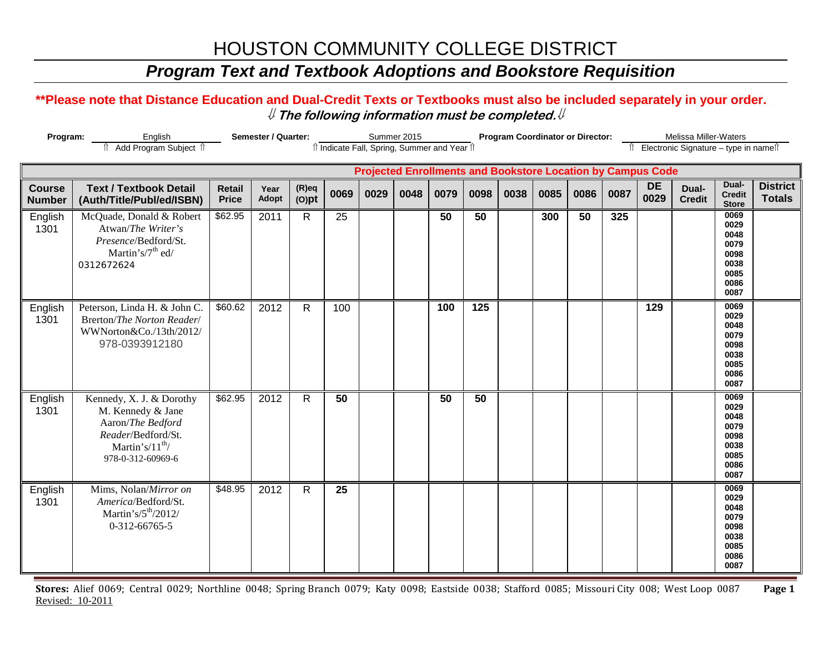### *Program Text and Textbook Adoptions and Bookstore Requisition*

### **\*\*Please note that Distance Education and Dual-Credit Texts or Textbooks must also be included separately in your order.**  ⇓ **The following information must be completed.**⇓

| Program:<br>Semester / Quarter:<br>English<br>Add Program Subject 1 |                                                                                                                                        |                               |               |                      |      |      | Summer 2015 | îl Indicate Fall, Spring, Summer and Year îl |      |      | <b>Program Coordinator or Director:</b> |      |      | Melissa Miller-Waters<br>Electronic Signature - type in namell     |                        |                                                                      |                                  |
|---------------------------------------------------------------------|----------------------------------------------------------------------------------------------------------------------------------------|-------------------------------|---------------|----------------------|------|------|-------------|----------------------------------------------|------|------|-----------------------------------------|------|------|--------------------------------------------------------------------|------------------------|----------------------------------------------------------------------|----------------------------------|
|                                                                     |                                                                                                                                        |                               |               |                      |      |      |             |                                              |      |      |                                         |      |      | <b>Projected Enrollments and Bookstore Location by Campus Code</b> |                        |                                                                      |                                  |
| <b>Course</b><br><b>Number</b>                                      | <b>Text / Textbook Detail</b><br>(Auth/Title/Publ/ed/ISBN)                                                                             | <b>Retail</b><br><b>Price</b> | Year<br>Adopt | $(R)$ eq<br>$(O)$ pt | 0069 | 0029 | 0048        | 0079                                         | 0098 | 0038 | 0085                                    | 0086 | 0087 | <b>DE</b><br>0029                                                  | Dual-<br><b>Credit</b> | Dual-<br><b>Credit</b><br><b>Store</b>                               | <b>District</b><br><b>Totals</b> |
| English<br>1301                                                     | McQuade, Donald & Robert<br>Atwan/The Writer's<br>Presence/Bedford/St.<br>Martin's/7 <sup>th</sup> ed/<br>0312672624                   | \$62.95                       | 2011          | R.                   | 25   |      |             | 50                                           | 50   |      | 300                                     | 50   | 325  |                                                                    |                        | 0069<br>0029<br>0048<br>0079<br>0098<br>0038<br>0085<br>0086<br>0087 |                                  |
| English<br>1301                                                     | Peterson, Linda H. & John C.<br><b>Brerton/The Norton Reader/</b><br>WWNorton&Co./13th/2012/<br>978-0393912180                         | \$60.62                       | 2012          | $\mathsf{R}$         | 100  |      |             | 100                                          | 125  |      |                                         |      |      | 129                                                                |                        | 0069<br>0029<br>0048<br>0079<br>0098<br>0038<br>0085<br>0086<br>0087 |                                  |
| English<br>1301                                                     | Kennedy, X. J. & Dorothy<br>M. Kennedy & Jane<br>Aaron/The Bedford<br>Reader/Bedford/St.<br>Martin's/ $11^{th}$ /<br>978-0-312-60969-6 | \$62.95                       | 2012          | $\mathsf{R}$         | 50   |      |             | 50                                           | 50   |      |                                         |      |      |                                                                    |                        | 0069<br>0029<br>0048<br>0079<br>0098<br>0038<br>0085<br>0086<br>0087 |                                  |
| English<br>1301                                                     | Mims, Nolan/Mirror on<br>America/Bedford/St.<br>Martin's/ $5th/2012/$<br>0-312-66765-5                                                 | \$48.95                       | 2012          | $\mathsf{R}$         | 25   |      |             |                                              |      |      |                                         |      |      |                                                                    |                        | 0069<br>0029<br>0048<br>0079<br>0098<br>0038<br>0085<br>0086<br>0087 |                                  |

**Stores:** Alief 0069; Central 0029; Northline 0048; Spring Branch 0079; Katy 0098; Eastside 0038; Stafford 0085; Missouri City 008; West Loop 0087 **Page 1** Revised: 10-2011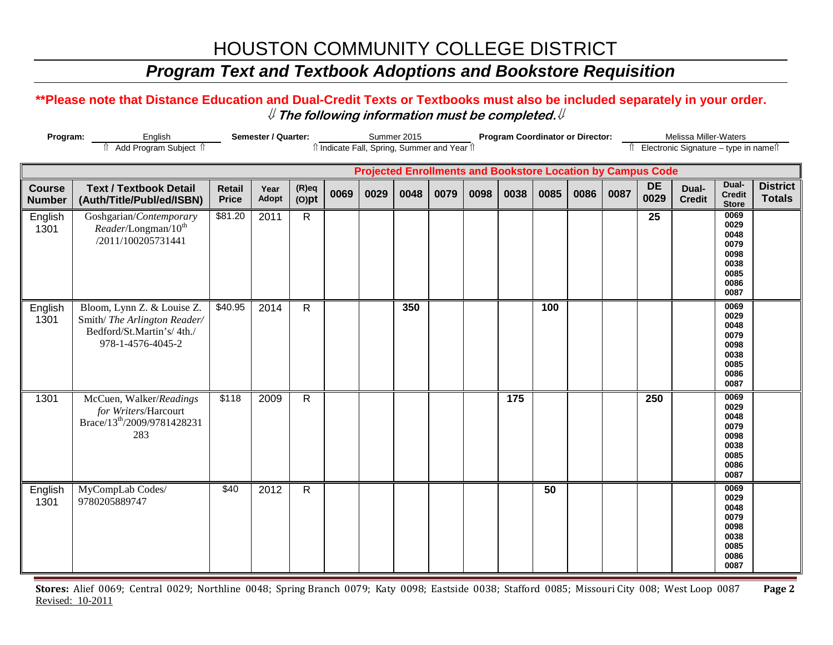### *Program Text and Textbook Adoptions and Bookstore Requisition*

### **\*\*Please note that Distance Education and Dual-Credit Texts or Textbooks must also be included separately in your order.**  ⇓ **The following information must be completed.**⇓

| Program:<br>English<br>Add Program Subject 1 |                                                                                                             |                               | Semester / Quarter: |                      |      |      | Summer 2015 | îl Indicate Fall, Spring, Summer and Year îl |      | Program Coordinator or Director: |      |      |                                                                    | Melissa Miller-Waters<br>Electronic Signature - type in names |                        |                                                                      |                                  |
|----------------------------------------------|-------------------------------------------------------------------------------------------------------------|-------------------------------|---------------------|----------------------|------|------|-------------|----------------------------------------------|------|----------------------------------|------|------|--------------------------------------------------------------------|---------------------------------------------------------------|------------------------|----------------------------------------------------------------------|----------------------------------|
|                                              |                                                                                                             |                               |                     |                      |      |      |             |                                              |      |                                  |      |      | <b>Projected Enrollments and Bookstore Location by Campus Code</b> |                                                               |                        |                                                                      |                                  |
| <b>Course</b><br><b>Number</b>               | <b>Text / Textbook Detail</b><br>(Auth/Title/Publ/ed/ISBN)                                                  | <b>Retail</b><br><b>Price</b> | Year<br>Adopt       | $(R)$ eq<br>$(O)$ pt | 0069 | 0029 | 0048        | 0079                                         | 0098 | 0038                             | 0085 | 0086 | 0087                                                               | <b>DE</b><br>0029                                             | Dual-<br><b>Credit</b> | Dual-<br><b>Credit</b><br><b>Store</b>                               | <b>District</b><br><b>Totals</b> |
| English<br>1301                              | Goshgarian/Contemporary<br>Reader/Longman/10 <sup>th</sup><br>/2011/100205731441                            | \$81.20                       | 2011                | $\mathsf{R}$         |      |      |             |                                              |      |                                  |      |      |                                                                    | 25                                                            |                        | 0069<br>0029<br>0048<br>0079<br>0098<br>0038<br>0085<br>0086<br>0087 |                                  |
| English<br>1301                              | Bloom, Lynn Z. & Louise Z.<br>Smith/The Arlington Reader/<br>Bedford/St.Martin's/4th./<br>978-1-4576-4045-2 | \$40.95                       | 2014                | $\mathsf{R}$         |      |      | 350         |                                              |      |                                  | 100  |      |                                                                    |                                                               |                        | 0069<br>0029<br>0048<br>0079<br>0098<br>0038<br>0085<br>0086<br>0087 |                                  |
| 1301                                         | McCuen, Walker/Readings<br>for Writers/Harcourt<br>Brace/13 <sup>th</sup> /2009/9781428231<br>283           | \$118                         | 2009                | $\mathsf{R}$         |      |      |             |                                              |      | 175                              |      |      |                                                                    | 250                                                           |                        | 0069<br>0029<br>0048<br>0079<br>0098<br>0038<br>0085<br>0086<br>0087 |                                  |
| English<br>1301                              | MyCompLab Codes/<br>9780205889747                                                                           | \$40                          | 2012                | $\mathsf{R}$         |      |      |             |                                              |      |                                  | 50   |      |                                                                    |                                                               |                        | 0069<br>0029<br>0048<br>0079<br>0098<br>0038<br>0085<br>0086<br>0087 |                                  |

**Stores:** Alief 0069; Central 0029; Northline 0048; Spring Branch 0079; Katy 0098; Eastside 0038; Stafford 0085; Missouri City 008; West Loop 0087 **Page 2** Revised: 10-2011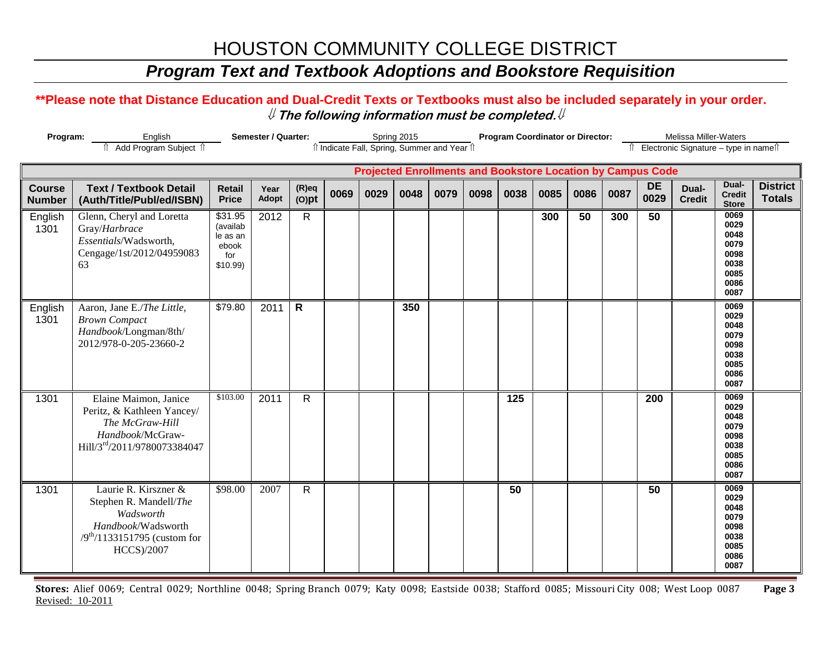### *Program Text and Textbook Adoptions and Bookstore Requisition*

#### **\*\*Please note that Distance Education and Dual-Credit Texts or Textbooks must also be included separately in your order.**  ⇓ **The following information must be completed.**⇓

| Semester / Quarter:<br>Program:<br>English<br>Add Program Subject 1 |                                                                                                                                     |                                                               |                      |                      |      |      | Spring 2015 | Il Indicate Fall, Spring, Summer and Year Il                       | <b>Program Coordinator or Director:</b> |      |      |      |      | Melissa Miller-Waters<br>Îl Electronic Signature - type in nameîl |                        |                                                                      |                                  |
|---------------------------------------------------------------------|-------------------------------------------------------------------------------------------------------------------------------------|---------------------------------------------------------------|----------------------|----------------------|------|------|-------------|--------------------------------------------------------------------|-----------------------------------------|------|------|------|------|-------------------------------------------------------------------|------------------------|----------------------------------------------------------------------|----------------------------------|
|                                                                     |                                                                                                                                     |                                                               |                      |                      |      |      |             | <b>Projected Enrollments and Bookstore Location by Campus Code</b> |                                         |      |      |      |      |                                                                   |                        |                                                                      |                                  |
| <b>Course</b><br><b>Number</b>                                      | <b>Text / Textbook Detail</b><br>(Auth/Title/Publ/ed/ISBN)                                                                          | <b>Retail</b><br><b>Price</b>                                 | Year<br><b>Adopt</b> | $(R)$ eq<br>$(O)$ pt | 0069 | 0029 | 0048        | 0079                                                               | 0098                                    | 0038 | 0085 | 0086 | 0087 | <b>DE</b><br>0029                                                 | Dual-<br><b>Credit</b> | Dual-<br><b>Credit</b><br><b>Store</b>                               | <b>District</b><br><b>Totals</b> |
| English<br>1301                                                     | Glenn, Cheryl and Loretta<br>Gray/Harbrace<br>Essentials/Wadsworth,<br>Cengage/1st/2012/04959083<br>63                              | \$31.95<br>(availab<br>le as an<br>ebook<br>for<br>$$10.99$ ) | 2012                 | $\mathsf{R}$         |      |      |             |                                                                    |                                         |      | 300  | 50   | 300  | 50                                                                |                        | 0069<br>0029<br>0048<br>0079<br>0098<br>0038<br>0085<br>0086<br>0087 |                                  |
| English<br>1301                                                     | Aaron, Jane E./The Little,<br><b>Brown Compact</b><br>Handbook/Longman/8th/<br>2012/978-0-205-23660-2                               | \$79.80                                                       | 2011                 | $\mathsf{R}$         |      |      | 350         |                                                                    |                                         |      |      |      |      |                                                                   |                        | 0069<br>0029<br>0048<br>0079<br>0098<br>0038<br>0085<br>0086<br>0087 |                                  |
| 1301                                                                | Elaine Maimon, Janice<br>Peritz, & Kathleen Yancey/<br>The McGraw-Hill<br>Handbook/McGraw-<br>Hill/3rd/2011/9780073384047           | \$103.00                                                      | 2011                 | $\mathsf{R}$         |      |      |             |                                                                    |                                         | 125  |      |      |      | 200                                                               |                        | 0069<br>0029<br>0048<br>0079<br>0098<br>0038<br>0085<br>0086<br>0087 |                                  |
| 1301                                                                | Laurie R. Kirszner &<br>Stephen R. Mandell/The<br>Wadsworth<br>Handbook/Wadsworth<br>$/9^{th}/1133151795$ (custom for<br>HCCS)/2007 | \$98.00                                                       | 2007                 | $\mathsf{R}$         |      |      |             |                                                                    |                                         | 50   |      |      |      | 50                                                                |                        | 0069<br>0029<br>0048<br>0079<br>0098<br>0038<br>0085<br>0086<br>0087 |                                  |

**Stores:** Alief 0069; Central 0029; Northline 0048; Spring Branch 0079; Katy 0098; Eastside 0038; Stafford 0085; Missouri City 008; West Loop 0087 **Page 3** Revised: 10-2011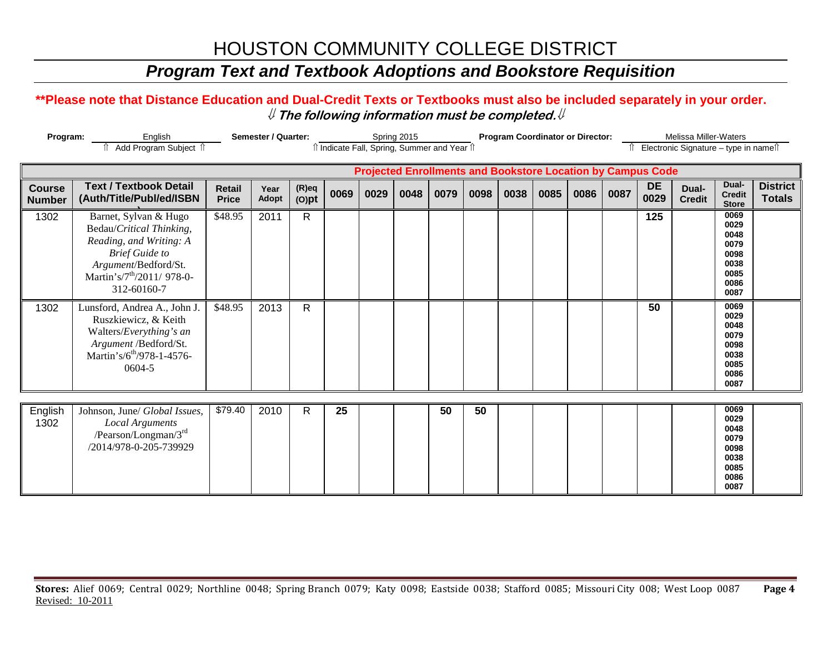### *Program Text and Textbook Adoptions and Bookstore Requisition*

### **\*\*Please note that Distance Education and Dual-Credit Texts or Textbooks must also be included separately in your order.**  ⇓ **The following information must be completed.**⇓

| Program:                       | English<br><b>↑ Add Program Subject ↑</b>                                                                                                                                              |                               | Semester / Quarter: |                      |      | <b>Program Coordinator or Director:</b><br>Spring 2015<br>î Indicate Fall, Spring, Summer and Year î |      |      |      |      |      |      |      | Melissa Miller-Waters<br>Î Electronic Signature – type in nameîl   |                        |                                                                      |                                  |  |
|--------------------------------|----------------------------------------------------------------------------------------------------------------------------------------------------------------------------------------|-------------------------------|---------------------|----------------------|------|------------------------------------------------------------------------------------------------------|------|------|------|------|------|------|------|--------------------------------------------------------------------|------------------------|----------------------------------------------------------------------|----------------------------------|--|
|                                |                                                                                                                                                                                        |                               |                     |                      |      |                                                                                                      |      |      |      |      |      |      |      | <b>Projected Enrollments and Bookstore Location by Campus Code</b> |                        |                                                                      |                                  |  |
| <b>Course</b><br><b>Number</b> | <b>Text / Textbook Detail</b><br>(Auth/Title/Publ/ed/ISBN                                                                                                                              | <b>Retail</b><br><b>Price</b> | Year<br>Adopt       | $(R)$ eq<br>$(O)$ pt | 0069 | 0029                                                                                                 | 0048 | 0079 | 0098 | 0038 | 0085 | 0086 | 0087 | <b>DE</b><br>0029                                                  | Dual-<br><b>Credit</b> | Dual-<br><b>Credit</b><br><b>Store</b>                               | <b>District</b><br><b>Totals</b> |  |
| 1302                           | Barnet, Sylvan & Hugo<br>Bedau/Critical Thinking,<br>Reading, and Writing: A<br><b>Brief Guide to</b><br>Argument/Bedford/St.<br>Martin's/7 <sup>th</sup> /2011/ 978-0-<br>312-60160-7 | \$48.95                       | 2011                | $\mathsf{R}$         |      |                                                                                                      |      |      |      |      |      |      |      | 125                                                                |                        | 0069<br>0029<br>0048<br>0079<br>0098<br>0038<br>0085<br>0086<br>0087 |                                  |  |
| 1302                           | Lunsford, Andrea A., John J.<br>Ruszkiewicz, & Keith<br>Walters/Everything's an<br>Argument /Bedford/St.<br>Martin's/6 <sup>th</sup> /978-1-4576-<br>$0604 - 5$                        | \$48.95                       | 2013                | $\mathsf{R}$         |      |                                                                                                      |      |      |      |      |      |      |      | 50                                                                 |                        | 0069<br>0029<br>0048<br>0079<br>0098<br>0038<br>0085<br>0086<br>0087 |                                  |  |
| English<br>1302                | Johnson, June/ Global Issues,<br>Local Arguments<br>/Pearson/Longman/3rd<br>/2014/978-0-205-739929                                                                                     | \$79.40                       | 2010                | $\mathsf{R}$         | 25   |                                                                                                      |      | 50   | 50   |      |      |      |      |                                                                    |                        | 0069<br>0029<br>0048<br>0079<br>0098<br>0038<br>0085<br>0086<br>0087 |                                  |  |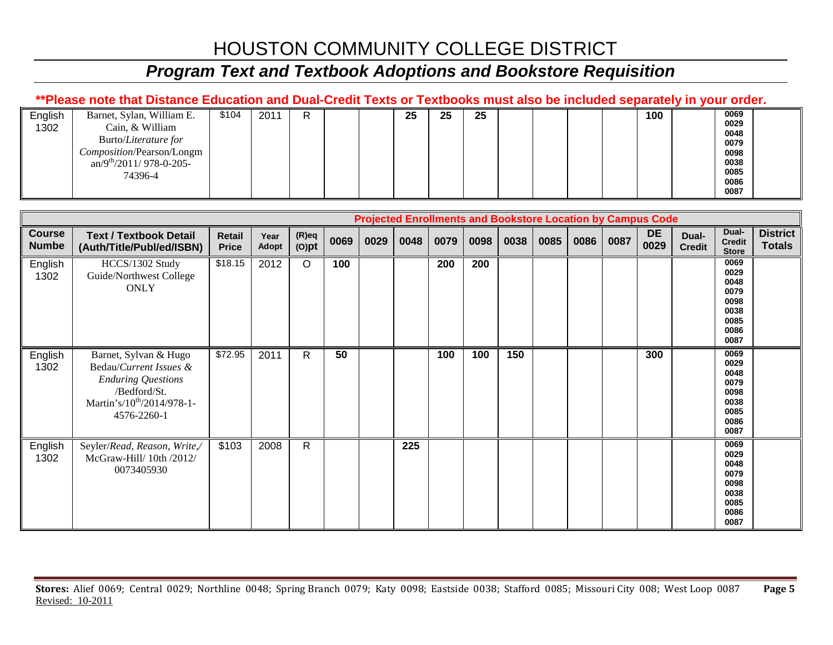# *Program Text and Textbook Adoptions and Bookstore Requisition*

### **\*\*Please note that Distance Education and Dual-Credit Texts or Textbooks must also be included separately in your order.**

| English | Barnet, Sylan, William E.           | \$104 | 2011 | R |  | 25 | 25 | 25 |  |  | 100 | 0069         |  |
|---------|-------------------------------------|-------|------|---|--|----|----|----|--|--|-----|--------------|--|
| 1302    | Cain, & William                     |       |      |   |  |    |    |    |  |  |     | 0029<br>0048 |  |
|         | Burto/Literature for                |       |      |   |  |    |    |    |  |  |     | 0079         |  |
|         | Composition/Pearson/Longm           |       |      |   |  |    |    |    |  |  |     | 0098         |  |
|         | an/9 <sup>th</sup> /2011/978-0-205- |       |      |   |  |    |    |    |  |  |     | 0038         |  |
|         | 74396-4                             |       |      |   |  |    |    |    |  |  |     | 0085         |  |
|         |                                     |       |      |   |  |    |    |    |  |  |     | 0086         |  |
|         |                                     |       |      |   |  |    |    |    |  |  |     | 0087         |  |

|                               |                                                                                                                                                       |                               |               |                      |      |      |      |      |      |      | <b>Projected Enrollments and Bookstore Location by Campus Code</b> |      |      |                   |                        |                                                                      |                                  |
|-------------------------------|-------------------------------------------------------------------------------------------------------------------------------------------------------|-------------------------------|---------------|----------------------|------|------|------|------|------|------|--------------------------------------------------------------------|------|------|-------------------|------------------------|----------------------------------------------------------------------|----------------------------------|
| <b>Course</b><br><b>Numbe</b> | <b>Text / Textbook Detail</b><br>(Auth/Title/Publ/ed/ISBN)                                                                                            | <b>Retail</b><br><b>Price</b> | Year<br>Adopt | $(R)$ eq<br>$(O)$ pt | 0069 | 0029 | 0048 | 0079 | 0098 | 0038 | 0085                                                               | 0086 | 0087 | <b>DE</b><br>0029 | Dual-<br><b>Credit</b> | Dual-<br><b>Credit</b><br><b>Store</b>                               | <b>District</b><br><b>Totals</b> |
| English<br>1302               | HCCS/1302 Study<br>Guide/Northwest College<br><b>ONLY</b>                                                                                             | \$18.15                       | 2012          | $\circ$              | 100  |      |      | 200  | 200  |      |                                                                    |      |      |                   |                        | 0069<br>0029<br>0048<br>0079<br>0098<br>0038<br>0085<br>0086<br>0087 |                                  |
| English<br>1302               | Barnet, Sylvan & Hugo<br>Bedau/Current Issues &<br><b>Enduring Questions</b><br>/Bedford/St.<br>Martin's/10 <sup>th</sup> /2014/978-1-<br>4576-2260-1 | \$72.95                       | 2011          | $\mathsf{R}$         | 50   |      |      | 100  | 100  | 150  |                                                                    |      |      | 300               |                        | 0069<br>0029<br>0048<br>0079<br>0098<br>0038<br>0085<br>0086<br>0087 |                                  |
| English<br>1302               | Seyler/Read, Reason, Write,/<br>McGraw-Hill/ 10th /2012/<br>0073405930                                                                                | \$103                         | 2008          | $\mathsf{R}$         |      |      | 225  |      |      |      |                                                                    |      |      |                   |                        | 0069<br>0029<br>0048<br>0079<br>0098<br>0038<br>0085<br>0086<br>0087 |                                  |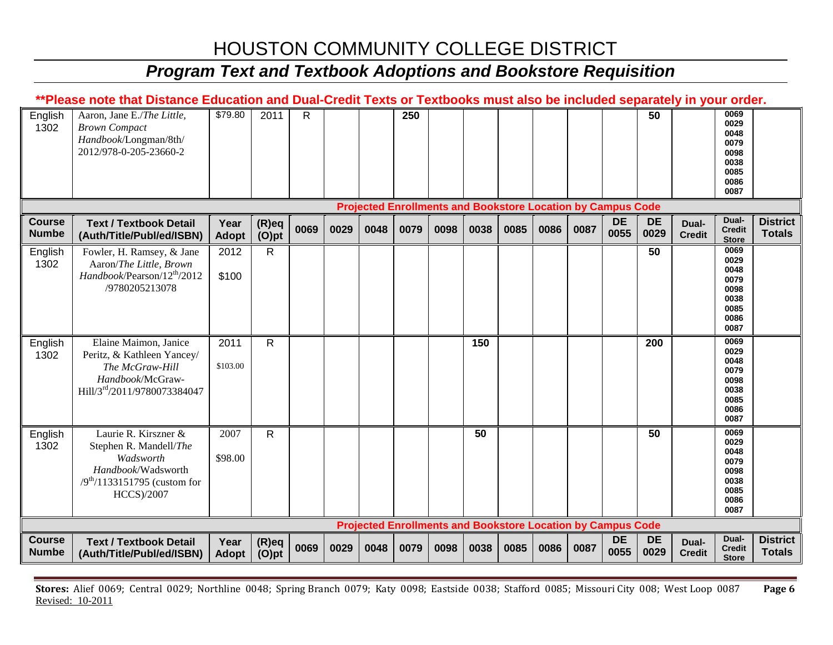## *Program Text and Textbook Adoptions and Bookstore Requisition*

|                               | **Please note that Distance Education and Dual-Credit Texts or Textbooks must also be included separately in your order.                    |                  |                      |      |      |                                                                    |      |      |      |      |      |      |                   |                   |                        |                                                                      |                                  |
|-------------------------------|---------------------------------------------------------------------------------------------------------------------------------------------|------------------|----------------------|------|------|--------------------------------------------------------------------|------|------|------|------|------|------|-------------------|-------------------|------------------------|----------------------------------------------------------------------|----------------------------------|
| English<br>1302               | Aaron, Jane E./The Little,<br><b>Brown Compact</b><br>Handbook/Longman/8th/<br>2012/978-0-205-23660-2                                       | \$79.80          | 2011                 | R.   |      |                                                                    | 250  |      |      |      |      |      |                   | 50                |                        | 0069<br>0029<br>0048<br>0079<br>0098<br>0038<br>0085<br>0086<br>0087 |                                  |
|                               |                                                                                                                                             |                  |                      |      |      | <b>Projected Enrollments and Bookstore Location by Campus Code</b> |      |      |      |      |      |      |                   |                   |                        |                                                                      |                                  |
| <b>Course</b><br><b>Numbe</b> | <b>Text / Textbook Detail</b><br>(Auth/Title/Publ/ed/ISBN)                                                                                  | Year<br>Adopt    | $(R)$ eq<br>$(O)$ pt | 0069 | 0029 | 0048                                                               | 0079 | 0098 | 0038 | 0085 | 0086 | 0087 | <b>DE</b><br>0055 | <b>DE</b><br>0029 | Dual-<br><b>Credit</b> | Dual-<br><b>Credit</b><br><b>Store</b>                               | <b>District</b><br><b>Totals</b> |
| English<br>1302               | Fowler, H. Ramsey, & Jane<br>Aaron/The Little, Brown<br>Handbook/Pearson/12 <sup>th</sup> /2012<br>/9780205213078                           | 2012<br>\$100    | R                    |      |      |                                                                    |      |      |      |      |      |      |                   | 50                |                        | 0069<br>0029<br>0048<br>0079<br>0098<br>0038<br>0085<br>0086<br>0087 |                                  |
| English<br>1302               | Elaine Maimon, Janice<br>Peritz, & Kathleen Yancey/<br>The McGraw-Hill<br>Handbook/McGraw-<br>Hill/3rd/2011/9780073384047                   | 2011<br>\$103.00 | $\mathsf{R}$         |      |      |                                                                    |      |      | 150  |      |      |      |                   | 200               |                        | 0069<br>0029<br>0048<br>0079<br>0098<br>0038<br>0085<br>0086<br>0087 |                                  |
| English<br>1302               | Laurie R. Kirszner &<br>Stephen R. Mandell/The<br>Wadsworth<br>Handbook/Wadsworth<br>$/9^{th}/1133151795$ (custom for<br><b>HCCS</b> )/2007 | 2007<br>\$98.00  | R                    |      |      |                                                                    |      |      | 50   |      |      |      |                   | 50                |                        | 0069<br>0029<br>0048<br>0079<br>0098<br>0038<br>0085<br>0086<br>0087 |                                  |
|                               |                                                                                                                                             |                  |                      |      |      | <b>Projected Enrollments and Bookstore Location by Campus Code</b> |      |      |      |      |      |      |                   |                   |                        |                                                                      |                                  |
| <b>Course</b><br><b>Numbe</b> | <b>Text / Textbook Detail</b><br>(Auth/Title/Publ/ed/ISBN)                                                                                  | Year<br>Adopt    | $(R)$ eq<br>$(O)$ pt | 0069 | 0029 | 0048                                                               | 0079 | 0098 | 0038 | 0085 | 0086 | 0087 | <b>DE</b><br>0055 | <b>DE</b><br>0029 | Dual-<br><b>Credit</b> | Dual-<br><b>Credit</b><br><b>Store</b>                               | <b>District</b><br><b>Totals</b> |

**Stores:** Alief 0069; Central 0029; Northline 0048; Spring Branch 0079; Katy 0098; Eastside 0038; Stafford 0085; Missouri City 008; West Loop 0087 **Page 6** Revised: 10-2011